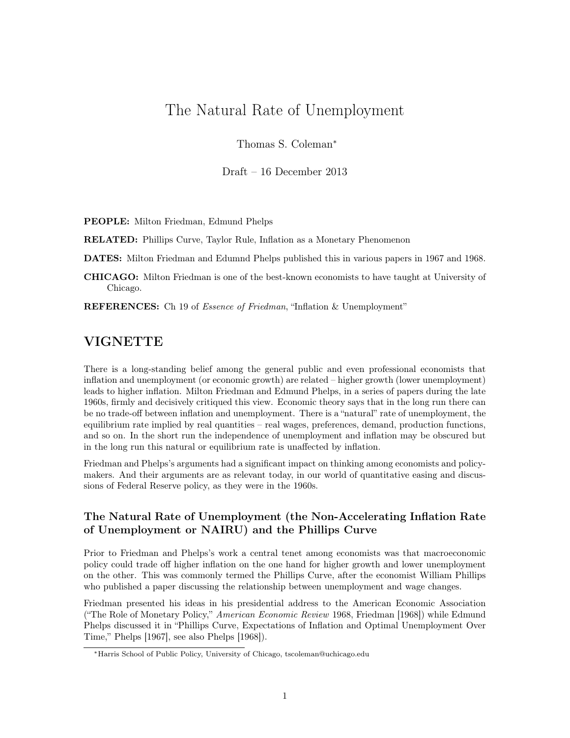## The Natural Rate of Unemployment

Thomas S. Coleman<sup>∗</sup>

Draft – 16 December 2013

PEOPLE: Milton Friedman, Edmund Phelps

RELATED: Phillips Curve, Taylor Rule, Inflation as a Monetary Phenomenon

DATES: Milton Friedman and Edumnd Phelps published this in various papers in 1967 and 1968.

CHICAGO: Milton Friedman is one of the best-known economists to have taught at University of Chicago.

REFERENCES: Ch 19 of *Essence of Friedman*, "Inflation & Unemployment"

## VIGNETTE

There is a long-standing belief among the general public and even professional economists that inflation and unemployment (or economic growth) are related – higher growth (lower unemployment) leads to higher inflation. Milton Friedman and Edmund Phelps, in a series of papers during the late 1960s, firmly and decisively critiqued this view. Economic theory says that in the long run there can be no trade-off between inflation and unemployment. There is a "natural" rate of unemployment, the equilibrium rate implied by real quantities – real wages, preferences, demand, production functions, and so on. In the short run the independence of unemployment and inflation may be obscured but in the long run this natural or equilibrium rate is unaffected by inflation.

Friedman and Phelps's arguments had a significant impact on thinking among economists and policymakers. And their arguments are as relevant today, in our world of quantitative easing and discussions of Federal Reserve policy, as they were in the 1960s.

## The Natural Rate of Unemployment (the Non-Accelerating Inflation Rate of Unemployment or NAIRU) and the Phillips Curve

Prior to Friedman and Phelps's work a central tenet among economists was that macroeconomic policy could trade off higher inflation on the one hand for higher growth and lower unemployment on the other. This was commonly termed the Phillips Curve, after the economist William Phillips who published a paper discussing the relationship between unemployment and wage changes.

Friedman presented his ideas in his presidential address to the American Economic Association ("The Role of Monetary Policy," American Economic Review 1968, Friedman [1968]) while Edmund Phelps discussed it in "Phillips Curve, Expectations of Inflation and Optimal Unemployment Over Time," Phelps [1967], see also Phelps [1968]).

<sup>∗</sup>Harris School of Public Policy, University of Chicago, tscoleman@uchicago.edu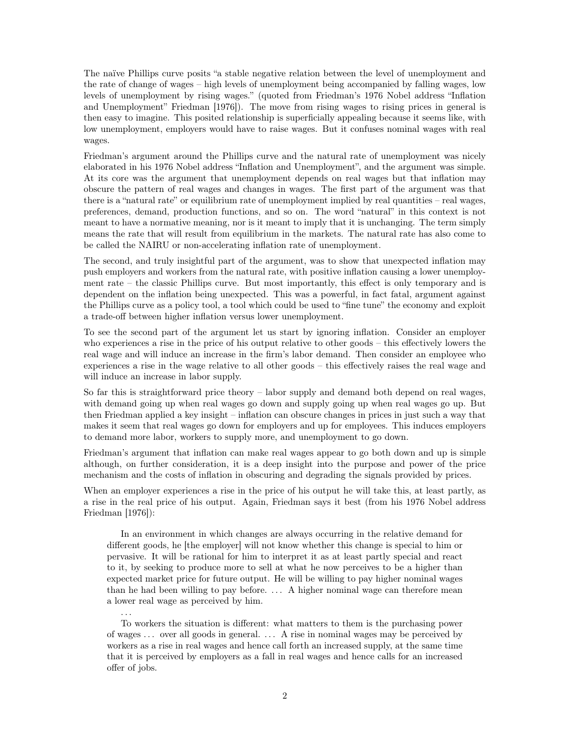The naïve Phillips curve posits "a stable negative relation between the level of unemployment and the rate of change of wages – high levels of unemployment being accompanied by falling wages, low levels of unemployment by rising wages." (quoted from Friedman's 1976 Nobel address "Inflation and Unemployment" Friedman [1976]). The move from rising wages to rising prices in general is then easy to imagine. This posited relationship is superficially appealing because it seems like, with low unemployment, employers would have to raise wages. But it confuses nominal wages with real wages.

Friedman's argument around the Phillips curve and the natural rate of unemployment was nicely elaborated in his 1976 Nobel address "Inflation and Unemployment", and the argument was simple. At its core was the argument that unemployment depends on real wages but that inflation may obscure the pattern of real wages and changes in wages. The first part of the argument was that there is a "natural rate" or equilibrium rate of unemployment implied by real quantities – real wages, preferences, demand, production functions, and so on. The word "natural" in this context is not meant to have a normative meaning, nor is it meant to imply that it is unchanging. The term simply means the rate that will result from equilibrium in the markets. The natural rate has also come to be called the NAIRU or non-accelerating inflation rate of unemployment.

The second, and truly insightful part of the argument, was to show that unexpected inflation may push employers and workers from the natural rate, with positive inflation causing a lower unemployment rate – the classic Phillips curve. But most importantly, this effect is only temporary and is dependent on the inflation being unexpected. This was a powerful, in fact fatal, argument against the Phillips curve as a policy tool, a tool which could be used to "fine tune" the economy and exploit a trade-off between higher inflation versus lower unemployment.

To see the second part of the argument let us start by ignoring inflation. Consider an employer who experiences a rise in the price of his output relative to other goods – this effectively lowers the real wage and will induce an increase in the firm's labor demand. Then consider an employee who experiences a rise in the wage relative to all other goods – this effectively raises the real wage and will induce an increase in labor supply.

So far this is straightforward price theory – labor supply and demand both depend on real wages, with demand going up when real wages go down and supply going up when real wages go up. But then Friedman applied a key insight – inflation can obscure changes in prices in just such a way that makes it seem that real wages go down for employers and up for employees. This induces employers to demand more labor, workers to supply more, and unemployment to go down.

Friedman's argument that inflation can make real wages appear to go both down and up is simple although, on further consideration, it is a deep insight into the purpose and power of the price mechanism and the costs of inflation in obscuring and degrading the signals provided by prices.

When an employer experiences a rise in the price of his output he will take this, at least partly, as a rise in the real price of his output. Again, Friedman says it best (from his 1976 Nobel address Friedman [1976]):

In an environment in which changes are always occurring in the relative demand for different goods, he [the employer] will not know whether this change is special to him or pervasive. It will be rational for him to interpret it as at least partly special and react to it, by seeking to produce more to sell at what he now perceives to be a higher than expected market price for future output. He will be willing to pay higher nominal wages than he had been willing to pay before. . . . A higher nominal wage can therefore mean a lower real wage as perceived by him.

To workers the situation is different: what matters to them is the purchasing power of wages . . . over all goods in general. . . . A rise in nominal wages may be perceived by workers as a rise in real wages and hence call forth an increased supply, at the same time that it is perceived by employers as a fall in real wages and hence calls for an increased offer of jobs.

. . .